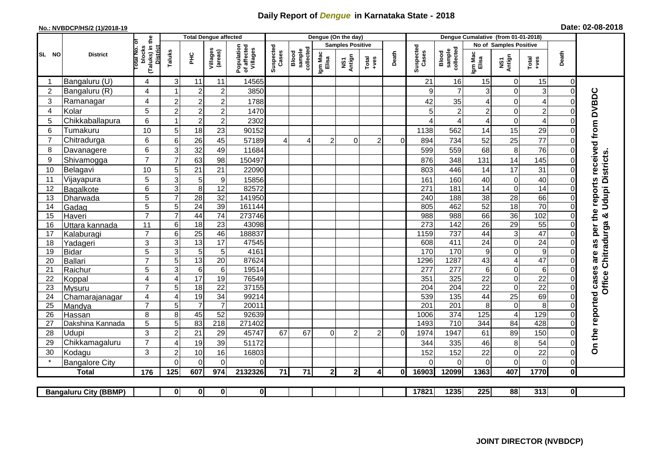## **Daily Report of** *Dengue* **in Karnataka State - 2018**

## **No.: NVBDCP/HS/2 (1)/2018-19 Date: 02-08-2018**

|                                                                                               | <b>District</b>          |                                                      | <b>Total Dengue affected</b> |                                    |                       |                                       |                    |                              |                         | Dengue (On the day) |                  |                |                    |                                     |                       |                         |                       |                            |                                            |
|-----------------------------------------------------------------------------------------------|--------------------------|------------------------------------------------------|------------------------------|------------------------------------|-----------------------|---------------------------------------|--------------------|------------------------------|-------------------------|---------------------|------------------|----------------|--------------------|-------------------------------------|-----------------------|-------------------------|-----------------------|----------------------------|--------------------------------------------|
|                                                                                               |                          |                                                      |                              |                                    |                       |                                       |                    |                              | <b>Samples Positive</b> |                     |                  |                |                    |                                     |                       | No of Samples Positive  |                       |                            |                                            |
| SL NO                                                                                         |                          | (Taluks) in the<br>District<br>otal No. of<br>blocks | Taluks                       | Ξ                                  | Villages<br>(areas)   | Population<br>of affected<br>Villages | Suspected<br>Cases | Blood<br>sample<br>collected | Igm Mac<br>Elisa        | NS1<br>Antign       | $Tota$<br>$+ves$ | Death          | Suspected<br>Cases | collected<br><b>Blood</b><br>sample | Igm Mac<br>Elisa      | NS1<br>Antign           | $Tota$<br>$+ves$      | Death                      |                                            |
|                                                                                               | Bangaluru (U)            | $\overline{4}$                                       | 3                            | 11                                 | 11                    | 14565                                 |                    |                              |                         |                     |                  |                | 21                 | 16                                  | 15                    | 0                       | 15                    | $\mathbf 0$                |                                            |
| $\overline{2}$                                                                                | Bangaluru (R)            | 4                                                    |                              | $\overline{2}$                     | $\mathbf 2$           | 3850                                  |                    |                              |                         |                     |                  |                | 9                  | $\overline{7}$                      | 3                     | 0                       | 3                     | $\mathbf 0$                |                                            |
| 3                                                                                             | Ramanagar                | 4                                                    | $\overline{2}$               | $\overline{2}$                     | $\overline{c}$        | 1788                                  |                    |                              |                         |                     |                  |                | 42                 | 35                                  | 4                     | $\mathbf 0$             | $\overline{4}$        | $\Omega$                   | are as per the reports received from DVBDC |
| 4                                                                                             | Kolar                    | 5                                                    | $\overline{2}$               | $\boldsymbol{2}$                   | $\boldsymbol{2}$      | 1470                                  |                    |                              |                         |                     |                  |                | 5                  | $\overline{2}$                      | $\overline{2}$        | 0                       | $\overline{c}$        | $\mathbf 0$                |                                            |
| 5                                                                                             | Chikkaballapura          | 6                                                    |                              | $\boldsymbol{2}$                   | $\mathbf 2$           | 2302                                  |                    |                              |                         |                     |                  |                | ⊿                  | 4                                   | 4                     | 0                       | $\overline{4}$        | 0                          |                                            |
| 6                                                                                             | Tumakuru                 | 10                                                   | 5                            | 18                                 | 23                    | 90152                                 |                    |                              |                         |                     |                  |                | 1138               | 562                                 | 14                    | 15                      | 29                    | $\Omega$                   |                                            |
| $\overline{7}$                                                                                | Chitradurga              | 6                                                    | 6                            | 26                                 | 45                    | 57189                                 | $\overline{4}$     | 4                            | 2                       | 0                   | $\overline{c}$   | $\overline{0}$ | 894                | 734                                 | 52                    | 25                      | 77                    | 0                          |                                            |
| 8                                                                                             | Davanagere               | 6                                                    | 3                            | 32                                 | 49                    | 11684                                 |                    |                              |                         |                     |                  |                | 599                | 559                                 | 68                    | 8                       | 76                    | $\mathbf 0$                |                                            |
| 9                                                                                             | Shivamogga               | $\overline{7}$                                       | $\overline{7}$               | 63                                 | 98                    | 150497                                |                    |                              |                         |                     |                  |                | 876                | 348                                 | 131                   | 14                      | 145                   | $\Omega$                   | <b>Udupi Districts</b>                     |
| 10                                                                                            | Belagavi                 | 10                                                   | 5                            | 21                                 | 21                    | 22090                                 |                    |                              |                         |                     |                  |                | 803                | 446                                 | 14                    | 17                      | 31                    | $\mathbf 0$                |                                            |
| 11                                                                                            | Vijayapura               | 5                                                    | 3                            | 5                                  | $\boldsymbol{9}$      | 15856                                 |                    |                              |                         |                     |                  |                | 161                | 160                                 | 40                    | 0                       | 40                    | $\Omega$                   |                                            |
| 12                                                                                            | Bagalkote                | 6                                                    | 3                            | 8                                  | 12                    | 82572                                 |                    |                              |                         |                     |                  |                | 271                | 181                                 | 14                    | 0                       | 14                    | $\Omega$                   |                                            |
| 13                                                                                            | Dharwada                 | 5                                                    | $\overline{7}$               | 28                                 | $\overline{32}$       | 141950                                |                    |                              |                         |                     |                  |                | 240                | 188                                 | $\overline{38}$       | 28                      | 66                    | $\mathbf 0$                |                                            |
| 14                                                                                            | Gadag                    | $\overline{5}$                                       | 5                            | $\overline{24}$                    | 39                    | 161144                                |                    |                              |                         |                     |                  |                | 805                | 462                                 | 52                    | 18                      | 70                    | $\mathbf 0$                |                                            |
| 15                                                                                            | Haveri                   | $\overline{7}$                                       | $\overline{7}$               | 44                                 | $\overline{74}$       | 273746                                |                    |                              |                         |                     |                  |                | 988                | 988                                 | 66                    | 36                      | 102                   | $\mathbf 0$                | ×                                          |
| 16                                                                                            | Uttara kannada           | 11                                                   | 6                            | $\overline{18}$                    | $\overline{23}$       | 43098                                 |                    |                              |                         |                     |                  |                | 273                | 142                                 | 26                    | 29                      | 55                    | $\Omega$                   |                                            |
| 17                                                                                            | Kalaburagi               | $\overline{7}$                                       | 6                            | 25                                 | 46                    | 188837                                |                    |                              |                         |                     |                  |                | 1159               | 737                                 | 44                    | 3                       | $\overline{47}$       | $\mathbf 0$                |                                            |
| 18                                                                                            | Yadageri                 | 3                                                    | 3                            | 13                                 | 17                    | 47545                                 |                    |                              |                         |                     |                  |                | 608                | 411                                 | 24                    | 0                       | $\overline{24}$       | $\Omega$                   |                                            |
| 19                                                                                            | Bidar                    | $\overline{5}$                                       | 3                            | $\overline{5}$                     | 5                     | 4161                                  |                    |                              |                         |                     |                  |                | 170                | 170                                 | $\boldsymbol{9}$      | $\mathbf 0$             | 9                     | $\Omega$                   |                                            |
| 20                                                                                            | Ballari                  | $\overline{7}$                                       | 5                            | 13                                 | 20                    | 87624                                 |                    |                              |                         |                     |                  |                | 1296               | 1287                                | 43                    | $\overline{\mathbf{4}}$ | 47                    | $\mathbf 0$                | Chitradurga                                |
| 21                                                                                            | Raichur                  | $\overline{5}$                                       | $\overline{3}$               | $\overline{6}$                     | 6                     | 19514                                 |                    |                              |                         |                     |                  |                | $\overline{277}$   | 277                                 | $\,6$                 | 0                       | $\overline{6}$        | $\mathbf 0$                |                                            |
| 22                                                                                            | Koppal                   | $\overline{4}$<br>$\overline{7}$                     | $\overline{4}$<br>5          | $\overline{17}$<br>$\overline{18}$ | 19<br>$\overline{22}$ | 76549<br>37155                        |                    |                              |                         |                     |                  |                | 351<br>204         | 325<br>204                          | 22<br>$\overline{22}$ | 0<br>0                  | $\overline{22}$<br>22 | $\mathbf 0$<br>$\mathbf 0$ | <b>Office</b>                              |
| 23<br>24                                                                                      | Mysuru                   | $\overline{4}$                                       | $\overline{4}$               | 19                                 | $\overline{34}$       | 99214                                 |                    |                              |                         |                     |                  |                | 539                | 135                                 | 44                    | $\overline{25}$         | 69                    | $\mathbf 0$                |                                            |
| 25                                                                                            | Chamarajanagar<br>Mandya | $\overline{7}$                                       | 5                            | $\overline{7}$                     | $\overline{7}$        | 20011                                 |                    |                              |                         |                     |                  |                | 201                | 201                                 | 8                     | $\boldsymbol{0}$        | $\overline{8}$        | $\Omega$                   |                                            |
| 26                                                                                            | Hassan                   | 8                                                    | 8                            | 45                                 | 52                    | 92639                                 |                    |                              |                         |                     |                  |                | 1006               | 374                                 | 125                   | $\overline{\mathbf{4}}$ | 129                   | $\mathbf 0$                |                                            |
| 27                                                                                            | Dakshina Kannada         | 5                                                    | 5                            | 83                                 | $\overline{218}$      | 271402                                |                    |                              |                         |                     |                  |                | 1493               | $\overline{710}$                    | 344                   | $\overline{84}$         | 428                   | $\mathbf 0$                |                                            |
| 28                                                                                            | Udupi                    | 3                                                    | $\overline{2}$               | 21                                 | 29                    | 45747                                 | 67                 | 67                           | $\Omega$                | $\mathfrak{p}$      | $\overline{2}$   | $\Omega$       | 1974               | 1947                                | 61                    | 89                      | 150                   | $\Omega$                   | On the reported cases                      |
| 29                                                                                            | Chikkamagaluru           | $\overline{7}$                                       | 4                            | 19                                 | 39                    | 51172                                 |                    |                              |                         |                     |                  |                | 344                | 335                                 | 46                    | 8                       | 54                    | 0                          |                                            |
| 30                                                                                            | Kodagu                   | 3                                                    | $\overline{2}$               | 10                                 | 16                    | 16803                                 |                    |                              |                         |                     |                  |                | 152                | 152                                 | 22                    | 0                       | 22                    | $\mathbf 0$                |                                            |
|                                                                                               | <b>Bangalore City</b>    |                                                      | $\Omega$                     | $\overline{0}$                     | $\Omega$              | $\Omega$                              |                    |                              |                         |                     |                  |                | ∩                  | $\Omega$                            | 0                     | $\overline{0}$          | $\mathbf 0$           | $\mathbf 0$                |                                            |
|                                                                                               | <b>Total</b>             | 176                                                  | 125                          | 607                                | 974                   | 2132326                               | 71                 | 71                           | $\overline{2}$          | 2 <sub>l</sub>      | $\overline{4}$   | Οl             | 16903              | 12099                               | 1363                  | 407                     | 1770                  | $\mathbf 0$                |                                            |
|                                                                                               |                          |                                                      |                              |                                    |                       |                                       |                    |                              |                         |                     |                  |                |                    |                                     |                       |                         |                       |                            |                                            |
| $\overline{\mathbf{0}}$<br> 0 <br>$\mathbf 0$<br>$\mathbf{0}$<br><b>Bangaluru City (BBMP)</b> |                          |                                                      |                              |                                    |                       |                                       |                    |                              |                         |                     |                  | 17821          | 1235               | 225                                 | 88                    | 313                     | $\overline{0}$        |                            |                                            |